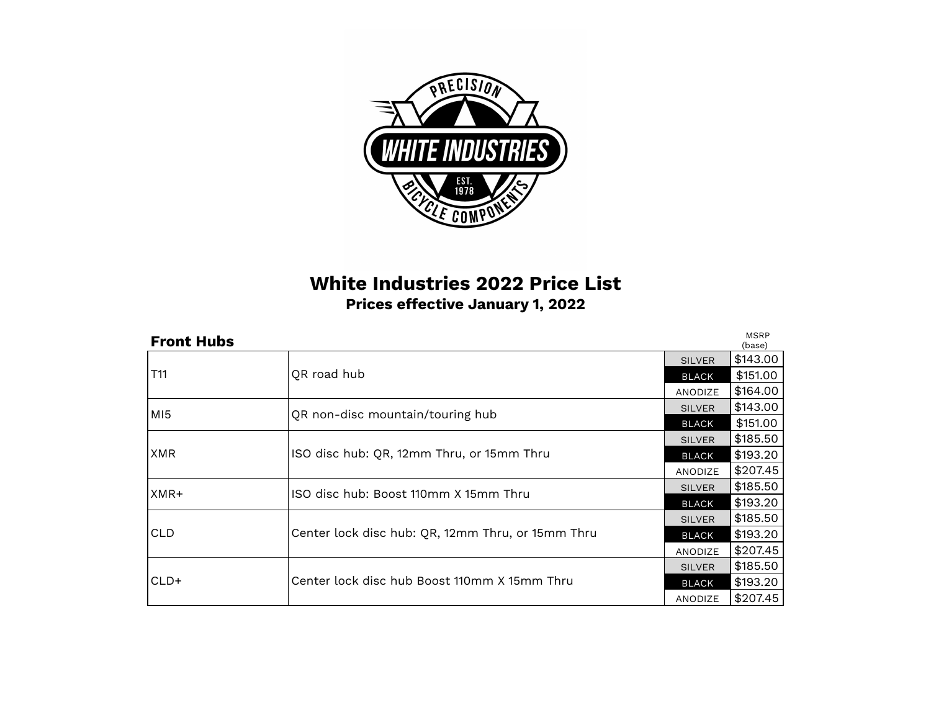

## **White Industries 2022 Price List Prices effective January 1, 2022**

| <b>Front Hubs</b> |                                                                                        | <b>MSRP</b><br>(base) |          |
|-------------------|----------------------------------------------------------------------------------------|-----------------------|----------|
|                   |                                                                                        | <b>SILVER</b>         | \$143.00 |
| T11               | QR road hub                                                                            | <b>BLACK</b>          | \$151.00 |
|                   |                                                                                        | ANODIZE               | \$164.00 |
| MI <sub>5</sub>   | QR non-disc mountain/touring hub                                                       | <b>SILVER</b>         | \$143.00 |
|                   |                                                                                        | <b>BLACK</b>          | \$151.00 |
|                   | ISO disc hub: QR, 12mm Thru, or 15mm Thru                                              | <b>SILVER</b>         | \$185.50 |
| <b>XMR</b>        |                                                                                        | <b>BLACK</b>          | \$193.20 |
|                   |                                                                                        | ANODIZE               | \$207.45 |
| XMR+              | ISO disc hub: Boost 110mm X 15mm Thru                                                  | <b>SILVER</b>         | \$185.50 |
|                   |                                                                                        | <b>BLACK</b>          | \$193.20 |
|                   | <b>SILVER</b><br>Center lock disc hub: QR, 12mm Thru, or 15mm Thru<br>BLACK<br>ANODIZE |                       | \$185.50 |
| <b>CLD</b>        |                                                                                        |                       | \$193.20 |
|                   |                                                                                        |                       | \$207.45 |
| CLD+              | Center lock disc hub Boost 110mm X 15mm Thru                                           | <b>SILVER</b>         | \$185.50 |
|                   |                                                                                        | <b>BLACK</b>          | \$193.20 |
|                   |                                                                                        | ANODIZE               | \$207.45 |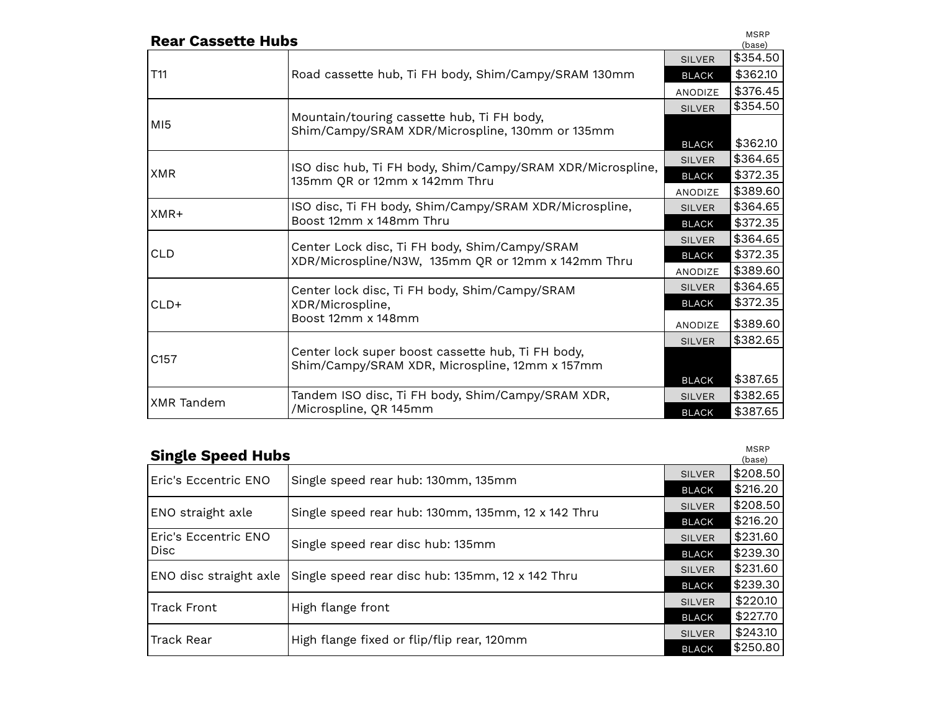| <b>Rear Cassette Hubs</b> |                                                                                                     |               | <b>MSRP</b><br>(base) |
|---------------------------|-----------------------------------------------------------------------------------------------------|---------------|-----------------------|
|                           |                                                                                                     | <b>SILVER</b> | \$354.50              |
| T11                       | Road cassette hub, Ti FH body, Shim/Campy/SRAM 130mm                                                | <b>BLACK</b>  | \$362.10              |
|                           |                                                                                                     | ANODIZE       | \$376.45              |
|                           |                                                                                                     | <b>SILVER</b> | \$354.50              |
| MI5                       | Mountain/touring cassette hub, Ti FH body,<br>Shim/Campy/SRAM XDR/Microspline, 130mm or 135mm       |               |                       |
|                           |                                                                                                     | <b>BLACK</b>  | \$362.10              |
|                           |                                                                                                     | <b>SILVER</b> | \$364.65              |
| <b>XMR</b>                | ISO disc hub, Ti FH body, Shim/Campy/SRAM XDR/Microspline,<br>135mm QR or 12mm x 142mm Thru         | <b>BLACK</b>  | \$372.35              |
|                           |                                                                                                     | ANODIZE       | \$389.60              |
| XMR+                      | ISO disc, Ti FH body, Shim/Campy/SRAM XDR/Microspline,                                              | <b>SILVER</b> | \$364.65              |
|                           | Boost 12mm x 148mm Thru                                                                             | <b>BLACK</b>  | \$372.35              |
|                           | Center Lock disc, Ti FH body, Shim/Campy/SRAM<br>XDR/Microspline/N3W, 135mm QR or 12mm x 142mm Thru | <b>SILVER</b> | \$364.65              |
| <b>CLD</b>                |                                                                                                     | <b>BLACK</b>  | \$372.35              |
|                           |                                                                                                     | ANODIZE       | \$389.60              |
|                           | Center lock disc, Ti FH body, Shim/Campy/SRAM                                                       | <b>SILVER</b> | \$364.65              |
| $CLD+$                    | XDR/Microspline,                                                                                    | <b>BLACK</b>  | \$372.35              |
|                           | Boost 12mm x 148mm                                                                                  | ANODIZE       | \$389.60              |
|                           |                                                                                                     | <b>SILVER</b> | \$382.65              |
| C <sub>157</sub>          | Center lock super boost cassette hub, Ti FH body,<br>Shim/Campy/SRAM XDR, Microspline, 12mm x 157mm |               |                       |
|                           |                                                                                                     | <b>BLACK</b>  | \$387.65              |
| XMR Tandem                | Tandem ISO disc, Ti FH body, Shim/Campy/SRAM XDR,                                                   | <b>SILVER</b> | \$382.65              |
|                           | /Microspline, QR 145mm                                                                              | <b>BLACK</b>  | \$387.65              |

| <b>Single Speed Hubs</b> |                                                                             |               | <b>MSRP</b><br>(base) |
|--------------------------|-----------------------------------------------------------------------------|---------------|-----------------------|
| Eric's Eccentric ENO     | Single speed rear hub: 130mm, 135mm                                         | <b>SILVER</b> | \$208.50              |
|                          |                                                                             | <b>BLACK</b>  | \$216.20              |
| ENO straight axle        | Single speed rear hub: 130mm, 135mm, 12 x 142 Thru                          | <b>SILVER</b> | \$208.50              |
|                          |                                                                             | <b>BLACK</b>  | \$216.20              |
| Eric's Eccentric ENO     |                                                                             | <b>SILVER</b> | \$231.60              |
| <b>Disc</b>              | Single speed rear disc hub: 135mm                                           | <b>BLACK</b>  | \$239.30              |
| ENO disc straight axle   | Single speed rear disc hub: 135mm, 12 x 142 Thru                            | <b>SILVER</b> | \$231.60              |
|                          |                                                                             | <b>BLACK</b>  | \$239.30              |
| <b>Track Front</b>       | High flange front                                                           | <b>SILVER</b> | \$220.10              |
|                          |                                                                             | <b>BLACK</b>  | \$227.70              |
| <b>Track Rear</b>        | <b>SILVER</b><br>High flange fixed or flip/flip rear, 120mm<br><b>BLACK</b> |               | \$243.10              |
|                          |                                                                             |               | \$250.80              |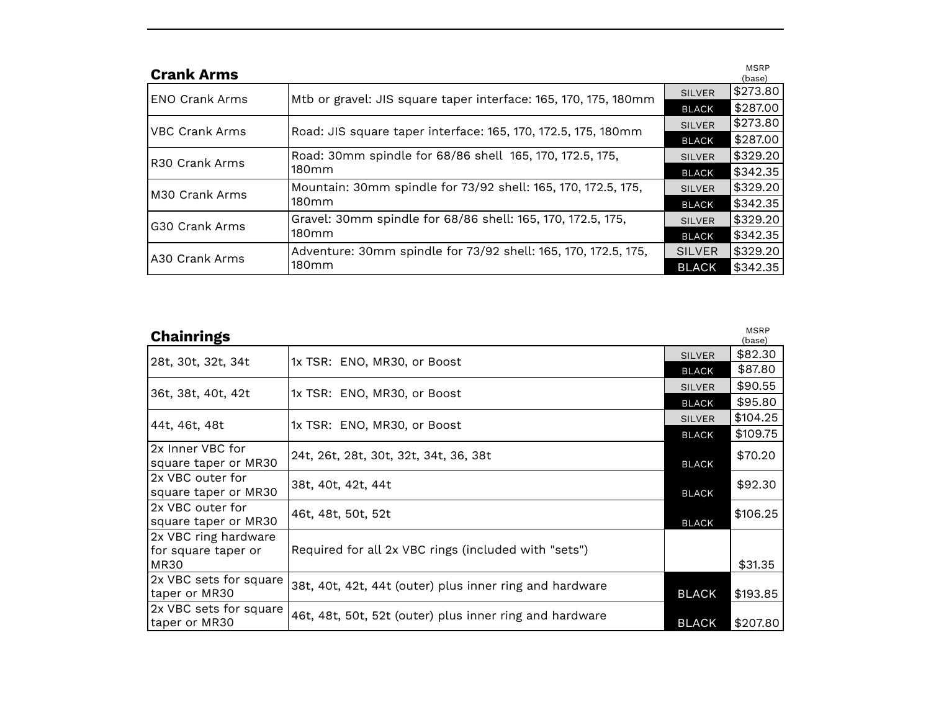| <b>Crank Arms</b>     |                                                                 |               | <b>MSRP</b><br>(base) |
|-----------------------|-----------------------------------------------------------------|---------------|-----------------------|
| <b>ENO Crank Arms</b> | Mtb or gravel: JIS square taper interface: 165, 170, 175, 180mm | <b>SILVER</b> | \$273.80              |
|                       |                                                                 | <b>BLACK</b>  | \$287.00              |
| <b>VBC Crank Arms</b> | Road: JIS square taper interface: 165, 170, 172.5, 175, 180mm   | <b>SILVER</b> | \$273.80              |
|                       |                                                                 | <b>BLACK</b>  | \$287.00              |
| IR30 Crank Arms       | Road: 30mm spindle for 68/86 shell 165, 170, 172.5, 175,        | <b>SILVER</b> | \$329.20              |
|                       | 180 <sub>mm</sub>                                               | <b>BLACK</b>  | \$342.35              |
| M30 Crank Arms        | Mountain: 30mm spindle for 73/92 shell: 165, 170, 172.5, 175,   | <b>SILVER</b> | \$329.20              |
|                       | 180 <sub>mm</sub>                                               | <b>BLACK</b>  | \$342.35              |
| G30 Crank Arms        | Gravel: 30mm spindle for 68/86 shell: 165, 170, 172.5, 175,     | <b>SILVER</b> | \$329.20              |
|                       | 180mm                                                           | <b>BLACK</b>  | \$342.35              |
| A30 Crank Arms        | Adventure: 30mm spindle for 73/92 shell: 165, 170, 172.5, 175,  | <b>SILVER</b> | \$329.20              |
|                       | 180mm                                                           | <b>BLACK</b>  | \$342.35              |

| <b>Chainrings</b>      |                                                         |               | <b>MSRP</b><br>(base) |
|------------------------|---------------------------------------------------------|---------------|-----------------------|
| 28t, 30t, 32t, 34t     | 1x TSR: ENO, MR30, or Boost                             | <b>SILVER</b> | \$82.30               |
|                        |                                                         | <b>BLACK</b>  | \$87.80               |
| 36t, 38t, 40t, 42t     | 1x TSR: ENO, MR30, or Boost                             | <b>SILVER</b> | \$90.55               |
|                        |                                                         | <b>BLACK</b>  | \$95.80               |
| 44t, 46t, 48t          | 1x TSR: ENO, MR30, or Boost                             | <b>SILVER</b> | \$104.25              |
|                        |                                                         | <b>BLACK</b>  | \$109.75              |
| 2x Inner VBC for       | 24t, 26t, 28t, 30t, 32t, 34t, 36, 38t                   |               | \$70.20               |
| square taper or MR30   |                                                         | <b>BLACK</b>  |                       |
| 2x VBC outer for       | 38t, 40t, 42t, 44t                                      |               | \$92.30               |
| square taper or MR30   |                                                         | <b>BLACK</b>  |                       |
| 2x VBC outer for       | 46t, 48t, 50t, 52t                                      |               | \$106.25              |
| square taper or MR30   |                                                         | <b>BLACK</b>  |                       |
| 2x VBC ring hardware   |                                                         |               |                       |
| for square taper or    | Required for all 2x VBC rings (included with "sets")    |               |                       |
| MR30                   |                                                         |               | \$31.35               |
| 2x VBC sets for square | 38t, 40t, 42t, 44t (outer) plus inner ring and hardware |               |                       |
| taper or MR30          |                                                         | <b>BLACK</b>  | \$193.85              |
| 2x VBC sets for square | 46t, 48t, 50t, 52t (outer) plus inner ring and hardware |               |                       |
| taper or MR30          |                                                         | <b>BLACK</b>  | \$207.80              |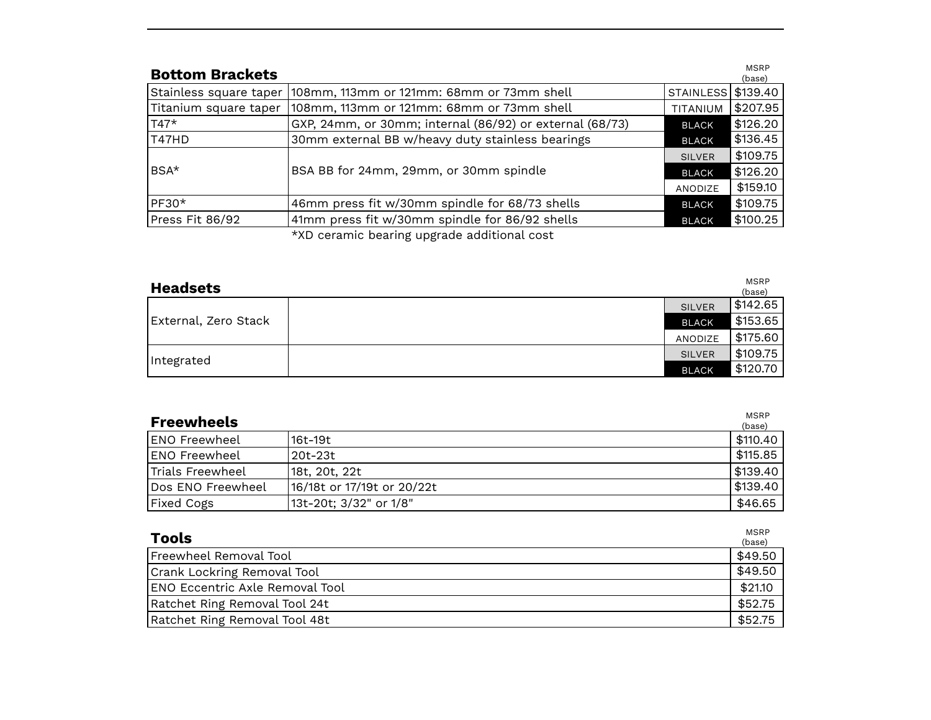| <b>Bottom Brackets</b> |                                                          |                    | <b>MSRP</b><br>(base) |
|------------------------|----------------------------------------------------------|--------------------|-----------------------|
| Stainless square taper | 108mm, 113mm or 121mm: 68mm or 73mm shell                | STAINLESS \$139.40 |                       |
| Titanium square taper  | 108mm, 113mm or 121mm: 68mm or 73mm shell                | TITANIUM           | \$207.95              |
| $T47*$                 | GXP, 24mm, or 30mm; internal (86/92) or external (68/73) | <b>BLACK</b>       | \$126.20              |
| T47HD                  | 30mm external BB w/heavy duty stainless bearings         | <b>BLACK</b>       | \$136.45              |
|                        | BSA BB for 24mm, 29mm, or 30mm spindle                   | <b>SILVER</b>      | \$109.75              |
| $BSA*$                 |                                                          | <b>BLACK</b>       | \$126.20              |
|                        |                                                          | ANODIZE            | \$159.10              |
| PF30*                  | 46mm press fit w/30mm spindle for 68/73 shells           | <b>BLACK</b>       | \$109.75              |
| Press Fit 86/92        | 41mm press fit w/30mm spindle for 86/92 shells           | <b>BLACK</b>       | \$100.25              |
|                        | $*VD$ accomic bearing ungrade additional accor-          |                    |                       |

\*XD ceramic bearing upgrade additional cost

| <b>Headsets</b>      |               | <b>MSRP</b><br>(base) |
|----------------------|---------------|-----------------------|
|                      | <b>SILVER</b> | \$142.65              |
| External, Zero Stack | <b>BLACK</b>  | \$153.65              |
|                      | ANODIZE       | \$175.60              |
| Integrated           | <b>SILVER</b> | \$109.75              |
|                      | <b>BLACK</b>  | \$120.70              |

| <b>Freewheels</b> |                            | <b>MSRP</b><br>(base) |
|-------------------|----------------------------|-----------------------|
| IENO Freewheel    | 16t-19t                    | \$110.40              |
| IENO Freewheel    | l 20t–23t.                 | \$115.85              |
| Trials Freewheel  | 18t, 20t, 22t              | \$139.40              |
| Dos ENO Freewheel | 16/18t or 17/19t or 20/22t | \$139.40              |
| <b>Fixed Cogs</b> | 13t-20t; 3/32" or 1/8"     | \$46.65               |

| <b>Tools</b>                    | <b>MSRP</b><br>(base) |
|---------------------------------|-----------------------|
| Freewheel Removal Tool          | \$49.50               |
| Crank Lockring Removal Tool     | \$49.50               |
| ENO Eccentric Axle Removal Tool | \$21.10               |
| Ratchet Ring Removal Tool 24t   | \$52.75               |
| Ratchet Ring Removal Tool 48t   | \$52.75               |